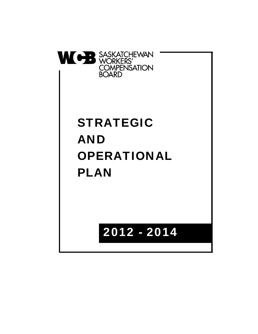

# STRATEGIC AND OPERATIONAL PLAN

# 2012 - 2014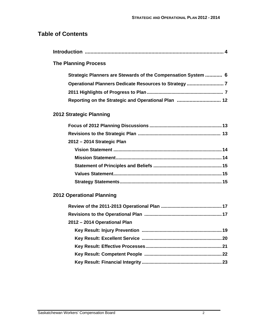# **Table of Contents**

| <b>The Planning Process</b>                                   |
|---------------------------------------------------------------|
| Strategic Planners are Stewards of the Compensation System  6 |
| Operational Planners Dedicate Resources to Strategy 7         |
|                                                               |
| Reporting on the Strategic and Operational Plan  12           |
| 2012 Strategic Planning                                       |
|                                                               |
|                                                               |
| 2012 - 2014 Strategic Plan                                    |
|                                                               |
|                                                               |
|                                                               |
|                                                               |
|                                                               |
| <b>2012 Operational Planning</b>                              |
|                                                               |
|                                                               |
| 2012 - 2014 Operational Plan                                  |
|                                                               |
|                                                               |
|                                                               |
|                                                               |
|                                                               |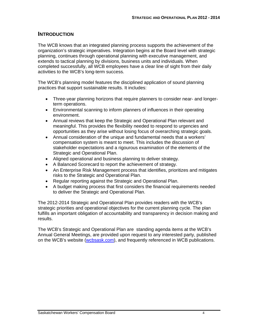#### **INTRODUCTION**

The WCB knows that an integrated planning process supports the achievement of the organization's strategic imperatives. Integration begins at the Board level with strategic planning, continues through operational planning with executive management, and extends to tactical planning by divisions, business units and individuals. When completed successfully, all WCB employees have a clear line of sight from their daily activities to the WCB's long-term success.

The WCB's planning model features the disciplined application of sound planning practices that support sustainable results. It includes:

- Three-year planning horizons that require planners to consider near- and longerterm operations.
- Environmental scanning to inform planners of influences in their operating environment.
- Annual reviews that keep the Strategic and Operational Plan relevant and meaningful. This provides the flexibility needed to respond to urgencies and opportunities as they arise without losing focus of overarching strategic goals.
- Annual consideration of the unique and fundamental needs that a workers' compensation system is meant to meet. This includes the discussion of stakeholder expectations and a rigourous examination of the elements of the Strategic and Operational Plan.
- Aligned operational and business planning to deliver strategy.
- A Balanced Scorecard to report the achievement of strategy.
- An Enterprise Risk Management process that identifies, prioritizes and mitigates risks to the Strategic and Operational Plan.
- Regular reporting against the Strategic and Operational Plan.
- A budget making process that first considers the financial requirements needed to deliver the Strategic and Operational Plan.

The 2012-2014 Strategic and Operational Plan provides readers with the WCB's strategic priorities and operational objectives for the current planning cycle. The plan fulfills an important obligation of accountability and transparency in decision making and results.

The WCB's Strategic and Operational Plan are standing agenda items at the WCB's Annual General Meetings, are provided upon request to any interested party, published on the WCB's website (wcbsask.com), and frequently referenced in WCB publications.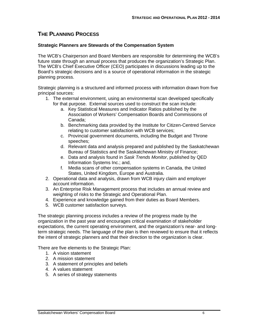# **THE PLANNING PROCESS**

#### **Strategic Planners are Stewards of the Compensation System**

The WCB's Chairperson and Board Members are responsible for determining the WCB's future state through an annual process that produces the organization's Strategic Plan. The WCB's Chief Executive Officer (CEO) participates in discussions leading up to the Board's strategic decisions and is a source of operational information in the strategic planning process.

Strategic planning is a structured and informed process with information drawn from five principal sources:

- 1. The external environment, using an environmental scan developed specifically for that purpose. External sources used to construct the scan include:
	- a. Key Statistical Measures and Indicator Ratios published by the Association of Workers' Compensation Boards and Commissions of Canada;
	- b. Benchmarking data provided by the Institute for Citizen-Centred Service relating to customer satisfaction with WCB services;
	- c. Provincial government documents, including the Budget and Throne speeches;
	- d. Relevant data and analysis prepared and published by the Saskatchewan Bureau of Statistics and the Saskatchewan Ministry of Finance;
	- e. Data and analysis found in *Sask Trends Monitor*, published by QED Information Systems Inc.; and,
	- f. Media scans of other compensation systems in Canada, the United States, United Kingdom, Europe and Australia.
- 2. Operational data and analysis, drawn from WCB injury claim and employer account information.
- 3. An Enterprise Risk Management process that includes an annual review and weighting of risks to the Strategic and Operational Plan.
- 4. Experience and knowledge gained from their duties as Board Members.
- 5. WCB customer satisfaction surveys.

The strategic planning process includes a review of the progress made by the organization in the past year and encourages critical examination of stakeholder expectations, the current operating environment, and the organization's near- and longterm strategic needs. The language of the plan is then reviewed to ensure that it reflects the intent of strategic planners and that their direction to the organization is clear.

There are five elements to the Strategic Plan:

- 1. A vision statement
- 2. A mission statement
- 3. A statement of principles and beliefs
- 4. A values statement
- 5. A series of strategy statements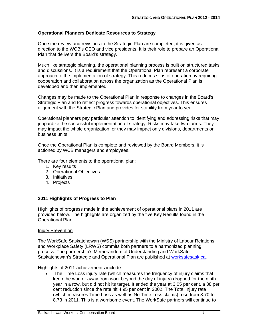#### **Operational Planners Dedicate Resources to Strategy**

Once the review and revisions to the Strategic Plan are completed, it is given as direction to the WCB's CEO and vice presidents. It is their role to prepare an Operational Plan that delivers the Board's strategy.

Much like strategic planning, the operational planning process is built on structured tasks and discussions. It is a requirement that the Operational Plan represent a corporate approach to the implementation of strategy. This reduces silos of operation by requiring cooperation and collaboration across the organization as the Operational Plan is developed and then implemented.

Changes may be made to the Operational Plan in response to changes in the Board's Strategic Plan and to reflect progress towards operational objectives. This ensures alignment with the Strategic Plan and provides for stability from year to year.

Operational planners pay particular attention to identifying and addressing risks that may jeopardize the successful implementation of strategy. Risks may take two forms. They may impact the whole organization, or they may impact only divisions, departments or business units.

Once the Operational Plan is complete and reviewed by the Board Members, it is actioned by WCB managers and employees.

There are four elements to the operational plan:

- 1. Key results
- 2. Operational Objectives
- 3. Initiatives
- 4. Projects

#### **2011 Highlights of Progress to Plan**

Highlights of progress made in the achievement of operational plans in 2011 are provided below. The highlights are organized by the five Key Results found in the Operational Plan.

#### Injury Prevention

The WorkSafe Saskatchewan (WSS) partnership with the Ministry of Labour Relations and Workplace Safety (LRWS) commits both partners to a harmonized planning process. The partnership's Memorandum of Understanding and WorkSafe Saskatchewan's Strategic and Operational Plan are published at worksafesask.ca.

Highlights of 2011 achievements include:

 The Time Loss injury rate (which measures the frequency of injury claims that keep the worker away from work beyond the day of injury) dropped for the ninth year in a row, but did not hit its target. It ended the year at 3.05 per cent, a 38 per cent reduction since the rate hit 4.95 per cent in 2002. The Total injury rate (which measures Time Loss as well as No Time Loss claims) rose from 8.70 to 8.73 in 2011. This is a worrisome event. The WorkSafe partners will continue to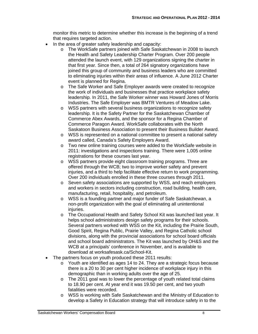monitor this metric to determine whether this increase is the beginning of a trend that requires targeted action.

- In the area of greater safety leadership and capacity:
	- o The WorkSafe partners joined with Safe Saskatchewan in 2008 to launch the Health and Safety Leadership Charter Program. Over 200 people attended the launch event, with 129 organizations signing the charter in that first year. Since then, a total of 264 signatory organizations have joined this group of community and business leaders who are committed to eliminating injuries within their areas of influence. A June 2012 Charter event is planned for Regina.
	- o The Safe Worker and Safe Employer awards were created to recognize the work of individuals and businesses that practice workplace safety leadership. In 2011, the Safe Worker winner was Howard Jones of Morris Industries. The Safe Employer was BMTR Ventures of Meadow Lake.
	- o WSS partners with several business organizations to recognize safety leadership. It is the Safety Partner for the Saskatchewan Chamber of Commerce Abex Awards, and the sponsor for a Regina Chamber of Commerce Paragon Award. WorkSafe collaborates with the North Saskatoon Business Association to present their Business Builder Award.
	- o WSS is represented on a national committee to present a national safety award called, Canada's Safety Employers Award.
	- o Two new online training courses were added to the WorkSafe website in 2011: investigations and inspections training. There were 1,005 online registrations for these courses last year.
	- o WSS partners provide eight classroom training programs. Three are offered through the WCB; two to improve worker safety and prevent injuries, and a third to help facilitate effective return to work programming. Over 200 individuals enrolled in these three courses through 2011.
	- o Seven safety associations are supported by WSS, and reach employers and workers in sectors including construction, road building, health care, manufacturing, retail, hospitality, and petroleum.
	- o WSS is a founding partner and major funder of Safe Saskatchewan, a non-profit organization with the goal of eliminating all unintentional iniuries.
	- o The Occupational Health and Safety School Kit was launched last year. It helps school administrators design safety programs for their schools. Several partners worked with WSS on the Kit, including the Prairie South, Good Spirit, Regina Public, Prairie Valley, and Regina Catholic school divisions, along with the provincial associations for school board officials and school board administrators. The Kit was launched by OH&S and the WCB at a principals' conference in November, and is available to download at worksafesask.ca/School-Kit.
- The partners focus on youth produced these 2011 results:
	- $\circ$  Youth are identified as ages 14 to 24. They are a strategic focus because there is a 20 to 30 per cent higher incidence of workplace injury in this demographic than in working adults over the age of 25.
	- o The 2011 goal was to lower the percentage of youth related total claims to 18.90 per cent. At year end it was 19.50 per cent, and two youth fatalities were recorded.
	- o WSS is working with Safe Saskatchewan and the Ministry of Education to develop a Safety in Education strategy that will introduce safety in to the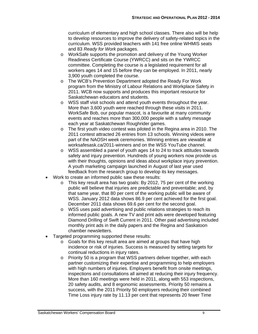curriculum of elementary and high school classes. There also will be help to develop resources to improve the delivery of safety-related topics in the curriculum. WSS provided teachers with 141 free online WHMIS seats and 83 *Ready for Work* packages.

- o WorkSafe supports the promotion and delivery of the Young Worker Readiness Certificate Course (YWRCC) and sits on the YWRCC committee. Completing the course is a legislated requirement for all workers ages 14 and 15 before they can be employed. In 2011, nearly 3,900 youth completed the course.
- o The WCB's Prevention Department adopted the Ready For Work program from the Ministry of Labour Relations and Workplace Safety in 2011. WCB now supports and produces this important resource for Saskatchewan educators and students.
- o WSS staff visit schools and attend youth events throughout the year. More than 3,600 youth were reached through these visits in 2011. WorkSafe Bob, our popular mascot, is a favourite at many community events and reaches more than 300,000 people with a safety message each year at Saskatchewan Roughrider games.
- o The first youth video contest was piloted in the Regina area in 2010. The 2011 contest attracted 26 entries from 13 schools. Winning videos were part of the NAOSH week ceremonies. Winning entries are viewable at worksafesask.ca/2011-winners and on the WSS YouTube channel.
- o WSS assembled a panel of youth ages 14 to 24 to track attitudes towards safety and injury prevention. Hundreds of young workers now provide us with their thoughts, opinions and ideas about workplace injury prevention. A youth marketing campaign launched in August of last year used feedback from the research group to develop its key messages.
- Work to create an informed public saw these results:
	- o This key result area has two goals: By 2012, 75 per cent of the working public will believe that injuries are predictable and preventable; and, by that same year, that 80 per cent of the working public will be aware of WSS. January 2012 data shows 86.9 per cent achieved for the first goal. December 2011 data shows 69.6 per cent for the second goal.
	- o WSS uses paid advertising and public relations strategies to reach its informed public goals. A new TV and print ads were developed featuring Diamond Drilling of Swift Current in 2011. Other paid advertising included monthly print ads in the daily papers and the Regina and Saskatoon chamber newsletters.
- Targeted programming supported these results:
	- o Goals for this key result area are aimed at groups that have high incidence or risk of injuries. Success is measured by setting targets for continual reductions in injury rates.
	- o Priority 50 is a program that WSS partners deliver together, with each partner customizing their expertise and programming to help employers with high numbers of injuries. Employers benefit from onsite meetings, inspections and consultations all aimed at reducing their injury frequency. More than 160 meetings were held in 2011, along with 553 inspections, 20 safety audits, and 8 ergonomic assessments. Priority 50 remains a success, with the 2011 Priority 50 employers reducing their combined Time Loss injury rate by 11.13 per cent that represents 20 fewer Time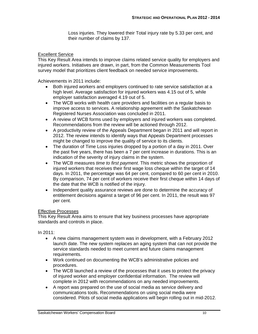Loss injuries. They lowered their Total injury rate by 5.33 per cent, and their number of claims by 137.

#### Excellent Service

This Key Result Area intends to improve claims related service quality for employers and injured workers. Initiatives are drawn, in part, from the Common Measurements Tool survey model that prioritizes client feedback on needed service improvements.

Achievements in 2011 include:

- Both injured workers and employers continued to rate service satisfaction at a high level. Average satisfaction for injured workers was 4.15 out of 5, while employer satisfaction averaged 4.19 out of 5.
- The WCB works with health care providers and facilities on a regular basis to improve access to services. A relationship agreement with the Saskatchewan Registered Nurses Association was concluded in 2011.
- A review of WCB forms used by employers and injured workers was completed. Recommendations from the review will be actioned through 2012.
- A productivity review of the Appeals Department began in 2011 and will report in 2012. The review intends to identify ways that Appeals Department processes might be changed to improve the quality of service to its clients.
- The duration of Time Loss injuries dropped by a portion of a day in 2011. Over the past five years, there has been a 7 per cent increase in durations. This is an indication of the severity of injury claims in the system.
- The WCB measures *time to first payment*. This metric shows the proportion of injured workers that receives their first wage loss cheque within the target of 14 days. In 2011, the percentage was 64 per cent, compared to 60 per cent in 2010. By comparison, 74 per cent of workers receive their first cheque within 14 days of the date that the WCB is notified of the injury.
- Independent quality assurance reviews are done to determine the accuracy of entitlement decisions against a target of 96 per cent. In 2011, the result was 97 per cent.

#### Effective Processes

This Key Result Area aims to ensure that key business processes have appropriate standards and controls in place.

In 2011:

- A new claims management system was in development, with a February 2012 launch date. The new system replaces an aging system that can not provide the service standards needed to meet current and future claims management requirements.
- Work continued on documenting the WCB's administrative policies and procedures.
- The WCB launched a review of the processes that it uses to protect the privacy of injured worker and employer confidential information. The review will complete in 2012 with recommendations on any needed improvements.
- A report was prepared on the use of social media as service delivery and communications tools. Recommendations on using social media were considered. Pilots of social media applications will begin rolling out in mid-2012.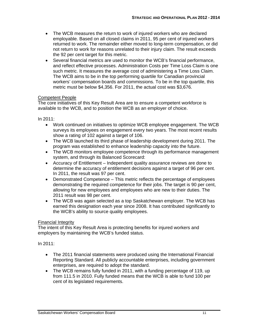- The WCB measures the return to work of injured workers who are declared employable. Based on all closed claims in 2011, 95 per cent of injured workers returned to work. The remainder either moved to long-term compensation, or did not return to work for reasons unrelated to their injury claim. The result exceeds the 92 per cent target for this metric.
- Several financial metrics are used to monitor the WCB's financial performance, and reflect effective processes. Administration Costs per Time Loss Claim is one such metric. It measures the average cost of administering a Time Loss Claim. The WCB aims to be in the top performing quartile for Canadian provincial workers' compensation boards and commissions. To be in the top quartile, this metric must be below \$4,356. For 2011, the actual cost was \$3,676.

#### Competent People

The core initiatives of this Key Result Area are to ensure a competent workforce is available to the WCB, and to position the WCB as an employer of choice.

In 2011:

- Work continued on initiatives to optimize WCB employee engagement. The WCB surveys its employees on engagement every two years. The most recent results show a rating of 102 against a target of 106.
- The WCB launched its third phase of leadership development during 2011. The program was established to enhance leadership capacity into the future.
- The WCB monitors employee competence through its performance management system, and through its Balanced Scorecard:
- Accuracy of Entitlement Independent quality assurance reviews are done to determine the accuracy of entitlement decisions against a target of 96 per cent. In 2011, the result was 97 per cent.
- Demonstrated Competence This metric reflects the percentage of employees demonstrating the required competence for their jobs. The target is 90 per cent, allowing for new employees and employees who are new to their duties. The 2011 result was 98 per cent.
- The WCB was again selected as a top Saskatchewan employer. The WCB has earned this designation each year since 2008. It has contributed significantly to the WCB's ability to source quality employees.

#### Financial Integrity

The intent of this Key Result Area is protecting benefits for injured workers and employers by maintaining the WCB's funded status.

In 2011:

- The 2011 financial statements were produced using the International Financial Reporting Standard. All publicly accountable enterprises, including government enterprises, are required to adopt the standard.
- The WCB remains fully funded in 2011, with a funding percentage of 119, up from 111.5 in 2010. Fully funded means that the WCB is able to fund 100 per cent of its legislated requirements.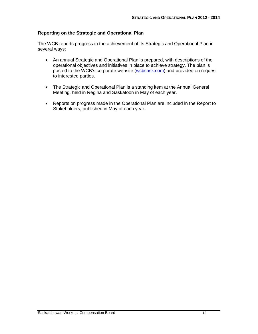#### **Reporting on the Strategic and Operational Plan**

The WCB reports progress in the achievement of its Strategic and Operational Plan in several ways:

- An annual Strategic and Operational Plan is prepared, with descriptions of the operational objectives and initiatives in place to achieve strategy. The plan is posted to the WCB's corporate website (wcbsask.com) and provided on request to interested parties.
- The Strategic and Operational Plan is a standing item at the Annual General Meeting, held in Regina and Saskatoon in May of each year.
- Reports on progress made in the Operational Plan are included in the Report to Stakeholders, published in May of each year.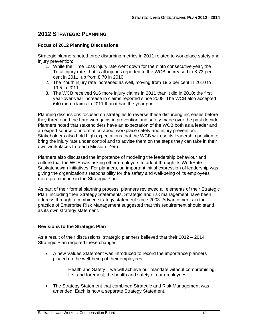### **2012 STRATEGIC PLANNING**

#### **Focus of 2012 Planning Discussions**

Strategic planners noted three disturbing metrics in 2011 related to workplace safety and injury prevention:

- 1. While the Time Loss injury rate went down for the ninth consecutive year, the Total injury rate, that is all injuries reported to the WCB, increased to 8.73 per cent in 2011; up from 8.70 in 2010.
- 2. The Youth injury rate increased as well, moving from 19.3 per cent in 2010 to 19.5.in 2011.
- 3. The WCB received 916 more injury claims in 2011 than it did in 2010; the first year-over-year increase in claims reported since 2008. The WCB also accepted 640 more claims in 2011 than it had the year prior.

Planning discussions focused on strategies to reverse these disturbing increases before they threatened the hard won gains in prevention and safety made over the past decade. Planners noted that stakeholders have an expectation of the WCB both as a leader and an expert source of information about workplace safety and injury prevention. Stakeholders also hold high expectations that the WCB will use its leadership position to bring the injury rate under control and to advise them on the steps they can take in their own workplaces to reach Mission: Zero.

Planners also discussed the importance of modeling the leadership behaviour and culture that the WCB was asking other employers to adopt through its WorkSafe Saskatchewan initiatives. For planners, an important initial expression of leadership was giving the organization's responsibility for the safety and well-being of its employees more prominence in the Strategic Plan.

As part of their formal planning process, planners reviewed all elements of their Strategic Plan, including their Strategy Statements. Strategic and risk management have been address through a combined strategy statement since 2003. Advancements in the practice of Enterprise Risk Management suggested that this requirement should stand as its own strategy statement.

#### **Revisions to the Strategic Plan**

As a result of their discussions, strategic planners believed that their 2012 – 2014 Strategic Plan required these changes:

 A new Values Statement was introduced to record the importance planners placed on the well-being of their employees.

> Health and Safety – we will achieve our mandate without compromising, first and foremost, the health and safety of our employees.

 The Strategy Statement that combined Strategic and Risk Management was amended. Each is now a separate Strategy Statement.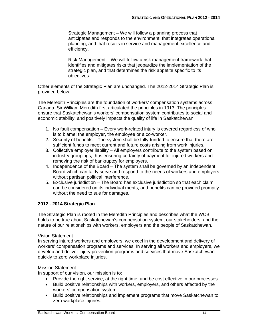Strategic Management – We will follow a planning process that anticipates and responds to the environment, that integrates operational planning, and that results in service and management excellence and efficiency.

Risk Management – We will follow a risk management framework that identifies and mitigates risks that jeopardize the implementation of the strategic plan, and that determines the risk appetite specific to its objectives.

Other elements of the Strategic Plan are unchanged. The 2012-2014 Strategic Plan is provided below.

The Meredith Principles are the foundation of workers' compensation systems across Canada. Sir William Meredith first articulated the principles in 1913. The principles ensure that Saskatchewan's workers' compensation system contributes to social and economic stability, and positively impacts the quality of life in Saskatchewan.

- 1. No fault compensation Every work-related injury is covered regardless of who is to blame: the employer, the employee or a co-worker.
- 2. Security of benefits The system shall be fully-funded to ensure that there are sufficient funds to meet current and future costs arising from work injuries.
- 3. Collective employer liability All employers contribute to the system based on industry groupings, thus ensuring certainty of payment for injured workers and removing the risk of bankruptcy for employers.
- 4. Independence of the Board The system shall be governed by an independent Board which can fairly serve and respond to the needs of workers and employers without partisan political interference.
- 5. Exclusive jurisdiction The Board has exclusive jurisdiction so that each claim can be considered on its individual merits, and benefits can be provided promptly without the need to sue for damages.

#### **2012 - 2014 Strategic Plan**

The Strategic Plan is rooted in the Meredith Principles and describes what the WCB holds to be true about Saskatchewan's compensation system, our stakeholders, and the nature of our relationships with workers, employers and the people of Saskatchewan.

#### Vision Statement

In serving injured workers and employers, we excel in the development and delivery of workers' compensation programs and services. In serving all workers and employers, we develop and deliver injury prevention programs and services that move Saskatchewan quickly to zero workplace injuries.

#### Mission Statement

In support of our vision, our mission is to:

- Provide the right service, at the right time, and be cost effective in our processes.
- Build positive relationships with workers, employers, and others affected by the workers' compensation system.
- Build positive relationships and implement programs that move Saskatchewan to zero workplace injuries.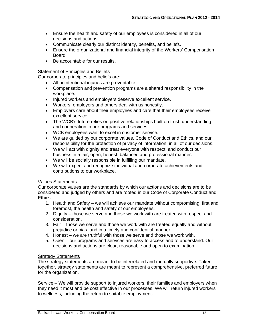- Ensure the health and safety of our employees is considered in all of our decisions and actions.
- Communicate clearly our distinct identity, benefits, and beliefs.
- Ensure the organizational and financial integrity of the Workers' Compensation Board.
- Be accountable for our results.

#### **Statement of Principles and Beliefs**

Our corporate principles and beliefs are:

- All unintentional injuries are preventable.
- Compensation and prevention programs are a shared responsibility in the workplace.
- Injured workers and employers deserve excellent service.
- Workers, employers and others deal with us honestly.
- Employers care about their employees and care that their employees receive excellent service.
- The WCB's future relies on positive relationships built on trust, understanding and cooperation in our programs and services.
- WCB employees want to excel in customer service.
- We are guided by our corporate values, Code of Conduct and Ethics, and our responsibility for the protection of privacy of information, in all of our decisions.
- We will act with dignity and treat everyone with respect, and conduct our business in a fair, open, honest, balanced and professional manner.
- We will be socially responsible in fulfilling our mandate.
- We will expect and recognize individual and corporate achievements and contributions to our workplace.

#### Values Statements

Our corporate values are the standards by which our actions and decisions are to be considered and judged by others and are rooted in our Code of Corporate Conduct and Ethics.

- 1. Health and Safety we will achieve our mandate without compromising, first and foremost, the health and safety of our employees.
- 2. Dignity those we serve and those we work with are treated with respect and consideration.
- 3. Fair those we serve and those we work with are treated equally and without prejudice or bias, and in a timely and confidential manner.
- 4. Honest we are truthful with those we serve and those we work with.
- 5. Open our programs and services are easy to access and to understand. Our decisions and actions are clear, reasonable and open to examination.

#### **Strategy Statements**

The strategy statements are meant to be interrelated and mutually supportive. Taken together, strategy statements are meant to represent a comprehensive, preferred future for the organization.

Service – We will provide support to injured workers, their families and employers when they need it most and be cost effective in our processes. We will return injured workers to wellness, including the return to suitable employment.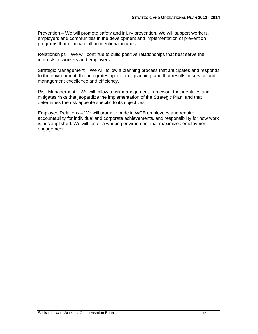Prevention – We will promote safety and injury prevention. We will support workers, employers and communities in the development and implementation of prevention programs that eliminate all unintentional injuries.

Relationships – We will continue to build positive relationships that best serve the interests of workers and employers.

Strategic Management – We will follow a planning process that anticipates and responds to the environment, that integrates operational planning, and that results in service and management excellence and efficiency.

Risk Management – We will follow a risk management framework that identifies and mitigates risks that jeopardize the implementation of the Strategic Plan, and that determines the risk appetite specific to its objectives.

Employee Relations – We will promote pride in WCB employees and require accountability for individual and corporate achievements, and responsibility for how work is accomplished. We will foster a working environment that maximizes employment engagement.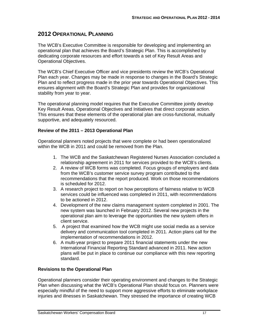## **2012 OPERATIONAL PLANNING**

The WCB's Executive Committee is responsible for developing and implementing an operational plan that achieves the Board's Strategic Plan. This is accomplished by dedicating corporate resources and effort towards a set of Key Result Areas and Operational Objectives.

The WCB's Chief Executive Officer and vice presidents review the WCB's Operational Plan each year. Changes may be made in response to changes in the Board's Strategic Plan and to reflect progress made in the prior year towards Operational Objectives. This ensures alignment with the Board's Strategic Plan and provides for organizational stability from year to year.

The operational planning model requires that the Executive Committee jointly develop Key Result Areas, Operational Objectives and Initiatives that direct corporate action. This ensures that these elements of the operational plan are cross-functional, mutually supportive, and adequately resourced.

#### **Review of the 2011 – 2013 Operational Plan**

Operational planners noted projects that were complete or had been operationalized within the WCB in 2011 and could be removed from the Plan.

- 1. The WCB and the Saskatchewan Registered Nurses Association concluded a relationship agreement in 2011 for services provided to the WCB's clients.
- 2. A review of WCB forms was completed. Focus groups of employers and data from the WCB's customer service survey program contributed to the recommendations that the report produced. Work on those recommendations is scheduled for 2012.
- 3. A research project to report on how perceptions of fairness relative to WCB services could be influenced was completed in 2011, with recommendations to be actioned in 2012.
- 4. Development of the new claims management system completed in 2001. The new system was launched in February 2012. Several new projects in the operational plan aim to leverage the opportunities the new system offers in client service.
- 5. A project that examined how the WCB might use social media as a service delivery and communication tool completed in 2011. Action plans call for the implementation of recommendations in 2012.
- 6. A multi-year project to prepare 2011 financial statements under the new International Financial Reporting Standard advanced in 2011. New action plans will be put in place to continue our compliance with this new reporting standard.

#### **Revisions to the Operational Plan**

Operational planners consider their operating environment and changes to the Strategic Plan when discussing what the WCB's Operational Plan should focus on. Planners were especially mindful of the need to support more aggressive efforts to eliminate workplace injuries and illnesses in Saskatchewan. They stressed the importance of creating WCB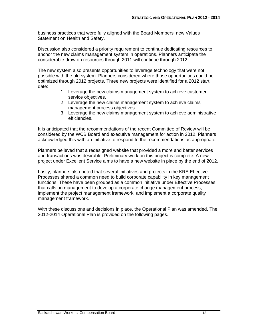business practices that were fully aligned with the Board Members' new Values Statement on Health and Safety.

Discussion also considered a priority requirement to continue dedicating resources to anchor the new claims management system in operations. Planners anticipate the considerable draw on resources through 2011 will continue through 2012.

The new system also presents opportunities to leverage technology that were not possible with the old system. Planners considered where those opportunities could be optimized through 2012 projects. Three new projects were identified for a 2012 start date:

- 1. Leverage the new claims management system to achieve customer service objectives.
- 2. Leverage the new claims management system to achieve claims management process objectives.
- 3. Leverage the new claims management system to achieve administrative efficiencies.

It is anticipated that the recommendations of the recent Committee of Review will be considered by the WCB Board and executive management for action in 2012. Planners acknowledged this with an Initiative to respond to the recommendations as appropriate.

Planners believed that a redesigned website that provided a more and better services and transactions was desirable. Preliminary work on this project is complete. A new project under Excellent Service aims to have a new website in place by the end of 2012.

Lastly, planners also noted that several initiatives and projects in the KRA Effective Processes shared a common need to build corporate capability in key management functions. These have been grouped as a common initiative under Effective Processes that calls on management to develop a corporate change management process, implement the project management framework, and implement a corporate quality management framework.

With these discussions and decisions in place, the Operational Plan was amended. The 2012-2014 Operational Plan is provided on the following pages.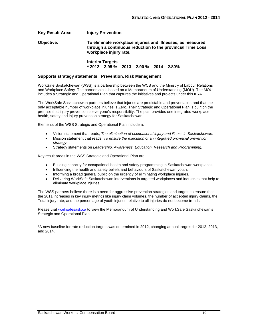**Key Result Area: Injury Prevention Objective: To eliminate workplace injuries and illnesses, as measured through a continuous reduction to the provincial Time Loss workplace injury rate. Interim Targets** 

 **\* 2012 – 2.95 % 2013 – 2.90 % 2014 – 2.80%** 

#### **Supports strategy statements: Prevention, Risk Management**

WorkSafe Saskatchewan (WSS) is a partnership between the WCB and the Ministry of Labour Relations and Workplace Safety. The partnership is based on a Memorandum of Understanding (MOU). The MOU includes a Strategic and Operational Plan that captures the initiatives and projects under this KRA.

The WorkSafe Saskatchewan partners believe that injuries are predictable and preventable, and that the only acceptable number of workplace injuries is Zero. Their Strategic and Operational Plan is built on the premise that injury prevention is everyone's responsibility. The plan provides one integrated workplace health, safety and injury prevention strategy for Saskatchewan.

Elements of the WSS Strategic and Operational Plan include a:

- Vision statement that reads, *The elimination of occupational injury and illness in Saskatchewan*.
- Mission statement that reads, *To ensure the execution of an integrated provincial prevention strategy*. .
- Strategy statements on *Leadership, Awareness, Education, Research and Programming*.

Key result areas in the WSS Strategic and Operational Plan are:

- Building capacity for occupational health and safety programming in Saskatchewan workplaces.
- Influencing the health and safety beliefs and behaviours of Saskatchewan youth.
- Informing a broad general public on the urgency of eliminating workplace injuries.
- Delivering WorkSafe Saskatchewan interventions in targeted workplaces and industries that help to eliminate workplace injuries.

The WSS partners believe there is a need for aggressive prevention strategies and targets to ensure that the 2011 increases in key injury metrics like injury claim volumes, the number of accepted injury claims, the Total injury rate, and the percentage of youth injuries relative to all injuries do not become trends.

Please visit worksafesask.ca to view the Memorandum of Understanding and WorkSafe Saskatchewan's Strategic and Operational Plan.

\*A new baseline for rate reduction targets was determined in 2012, changing annual targets for 2012, 2013, and 2014.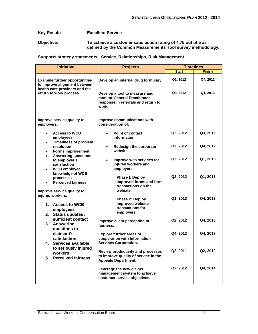#### **Key Result: Excellent Service**

**Objective: To achieve a customer satisfaction rating of 4.75 out of 5 as defined by the Common Measurements Tool survey methodology.** 

#### **Supports strategy statements: Service, Relationships, Risk Management**

| <b>Initiative</b>                                                                                                                                                                                                                                        | <b>Projects</b>                                                                                                | <b>Timelines</b> |               |  |
|----------------------------------------------------------------------------------------------------------------------------------------------------------------------------------------------------------------------------------------------------------|----------------------------------------------------------------------------------------------------------------|------------------|---------------|--|
|                                                                                                                                                                                                                                                          |                                                                                                                | <b>Start</b>     | <b>Finish</b> |  |
| <b>Examine further opportunities</b><br>to improve alignment between                                                                                                                                                                                     | Develop an internal drug formulary.                                                                            | Q2, 2012         | Q4, 2012      |  |
| health care providers and the<br>return to work process.                                                                                                                                                                                                 | Develop a tool to measure and<br>monitor General Practitioner<br>response in referrals and return to<br>work.  | Q3, 2012         | Q1, 2013      |  |
| Improve service quality to<br>employers.                                                                                                                                                                                                                 | Improve communications with<br>consideration of:                                                               |                  |               |  |
| <b>Access to WCB</b><br>employees                                                                                                                                                                                                                        | <b>Point of contact</b><br>information                                                                         | Q2, 2012         | Q3, 2012      |  |
| <b>Timeliness of problem</b><br>resolution<br><b>Forms improvement</b><br><b>Answering questions</b><br>to employer's<br>satisfaction<br><b>WCB</b> employee<br>knowledge of WCB<br>processes<br><b>Perceived fairness</b><br>Improve service quality to | Redesign the corporate<br>$\bullet$<br>website.                                                                | Q2, 2012         | Q4, 2012      |  |
|                                                                                                                                                                                                                                                          | Improve web services for<br>$\bullet$<br>injured workers and<br>employers.                                     | Q2, 2012         | Q1, 2013      |  |
|                                                                                                                                                                                                                                                          | Phase I: Deploy<br>improved forms and form<br>transactions on the<br>website.                                  | Q2, 2012         | Q1, 2013      |  |
| injured workers.<br>1. Access to WCB<br>employees<br>2. Status updates /                                                                                                                                                                                 | Phase 2: Deploy<br>improved website<br>transactions for<br>employers.                                          | Q1, 2013         | Q4, 2013      |  |
| sufficient contact<br>3. Answering<br>questions to                                                                                                                                                                                                       | Improve client perception of<br>fairness.                                                                      | Q2, 2012         | Q4, 2013      |  |
| claimant's<br>satisfaction<br>4. Services available                                                                                                                                                                                                      | <b>Explore further areas of</b><br>cooperation with Information<br><b>Services Corporation.</b>                | Q4, 2012         | Q4, 2013      |  |
| to seriously injured<br>workers<br>5. Perceived fairness                                                                                                                                                                                                 | <b>Review productivity and processes</b><br>to improve quality of service in the<br><b>Appeals Department.</b> | Q2, 2011         | Q2, 2012      |  |
|                                                                                                                                                                                                                                                          | Leverage the new claims<br>management system to achieve<br>customer service objectives.                        | Q2, 2012         | Q4, 2014      |  |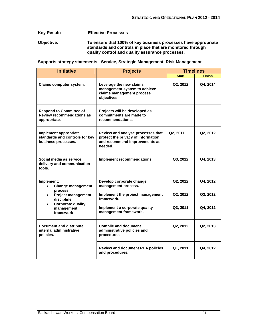#### **Key Result: Effective Processes**

**Objective: To ensure that 100% of key business processes have appropriate standards and controls in place that are monitored through quality control and quality assurance processes.** 

|  | Supports strategy statements: Service, Strategic Management, Risk Management |  |  |  |  |
|--|------------------------------------------------------------------------------|--|--|--|--|
|  |                                                                              |  |  |  |  |

| <b>Initiative</b>                                                                  | <b>Projects</b>                                                                                                     | <b>Timelines</b> |               |  |
|------------------------------------------------------------------------------------|---------------------------------------------------------------------------------------------------------------------|------------------|---------------|--|
|                                                                                    |                                                                                                                     | <b>Start</b>     | <b>Finish</b> |  |
| Claims computer system.                                                            | Leverage the new claims<br>management system to achieve<br>claims management process<br>objectives.                 | Q2, 2012         | Q4, 2014      |  |
| <b>Respond to Committee of</b><br><b>Review recommendations as</b><br>appropriate. | Projects will be developed as<br>commitments are made to<br>recommendations.                                        |                  |               |  |
| Implement appropriate<br>standards and controls for key<br>business processes.     | Review and analyse processes that<br>protect the privacy of information<br>and recommend improvements as<br>needed. | Q2, 2011         | Q2, 2012      |  |
| Social media as service<br>delivery and communication<br>tools.                    | Implement recommendations.                                                                                          | Q3, 2012         | Q4.2013       |  |
| Implement:<br><b>Change management</b><br>process                                  | Develop corporate change<br>management process.                                                                     | Q2, 2012         | Q4, 2012      |  |
| <b>Project management</b><br>discipline                                            | Implement the project management<br>framework.                                                                      | Q2, 2012         | Q3, 2012      |  |
| <b>Corporate quality</b><br>management<br>framework                                | Implement a corporate quality<br>management framework.                                                              | Q3, 2011         | Q4, 2012      |  |
| Document and distribute<br>internal administrative<br>policies.                    | <b>Compile and document</b><br>administrative policies and<br>procedures.                                           | Q2, 2012         | Q2, 2013      |  |
|                                                                                    | <b>Review and document REA policies</b><br>and procedures.                                                          | Q1, 2011         | Q4, 2012      |  |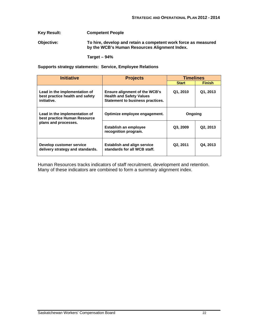#### **Key Result: Competent People**

**Objective: To hire, develop and retain a competent work force as measured by the WCB's Human Resources Alignment Index.** 

 **Target – 94%** 

**Supports strategy statements: Service, Employee Relations** 

| <b>Initiative</b>                                                                     | <b>Projects</b>                                                                                             | <b>Timelines</b> |               |  |
|---------------------------------------------------------------------------------------|-------------------------------------------------------------------------------------------------------------|------------------|---------------|--|
|                                                                                       |                                                                                                             | <b>Start</b>     | <b>Finish</b> |  |
| Lead in the implementation of<br>best practice health and safety<br>initiative.       | <b>Ensure alignment of the WCB's</b><br><b>Health and Safety Values</b><br>Statement to business practices. | Q1, 2010         | Q1, 2013      |  |
| Lead in the implementation of<br>best practice Human Resource<br>plans and processes. | Optimize employee engagement.                                                                               | Ongoing          |               |  |
|                                                                                       | Establish an employee<br>recognition program.                                                               | Q3, 2009         | Q2, 2013      |  |
| Develop customer service<br>delivery strategy and standards.                          | <b>Establish and align service</b><br>standards for all WCB staff.                                          | Q2, 2011         | Q4, 2013      |  |

Human Resources tracks indicators of staff recruitment, development and retention. Many of these indicators are combined to form a summary alignment index.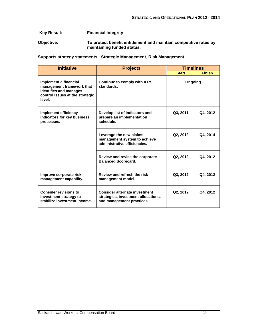#### **Key Result: Financial Integrity**

**Objective: To protect benefit entitlement and maintain competitive rates by maintaining funded status.** 

**Supports strategy statements: Strategic Management, Risk Management** 

| <b>Initiative</b>                                                                                                         | <b>Projects</b>                                                                                          | <b>Timelines</b> |               |  |
|---------------------------------------------------------------------------------------------------------------------------|----------------------------------------------------------------------------------------------------------|------------------|---------------|--|
|                                                                                                                           |                                                                                                          | <b>Start</b>     | <b>Finish</b> |  |
| Implement a financial<br>management framework that<br>identifies and manages<br>control issues at the strategic<br>level. | <b>Continue to comply with IFRS</b><br>standards.                                                        | Ongoing          |               |  |
| Implement efficiency<br>indicators for key business<br>processes.                                                         | Develop list of indicators and<br>prepare an implementation<br>schedule.                                 | Q3, 2011         | Q4, 2012      |  |
|                                                                                                                           | Leverage the new claims<br>management system to achieve<br>administrative efficiencies.                  | Q2, 2012         | Q4, 2014      |  |
|                                                                                                                           | Review and revise the corporate<br><b>Balanced Scorecard.</b>                                            | Q2, 2012         | Q4, 2012      |  |
| Improve corporate risk<br>management capability.                                                                          | Review and refresh the risk<br>management model.                                                         | Q3, 2012         | Q4, 2012      |  |
| <b>Consider revisions to</b><br>investment strategy to<br>stabilize investment income.                                    | <b>Consider alternate investment</b><br>strategies, investment allocations,<br>and management practices. | Q2, 2012         | Q4, 2012      |  |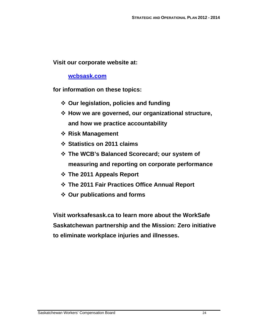**Visit our corporate website at:** 

**wcbsask.com**

**for information on these topics:** 

- **Our legislation, policies and funding**
- **How we are governed, our organizational structure, and how we practice accountability**
- **Risk Management**
- **Statistics on 2011 claims**
- **The WCB's Balanced Scorecard; our system of measuring and reporting on corporate performance**
- **The 2011 Appeals Report**
- **The 2011 Fair Practices Office Annual Report**
- **Our publications and forms**

**Visit worksafesask.ca to learn more about the WorkSafe Saskatchewan partnership and the Mission: Zero initiative to eliminate workplace injuries and illnesses.**